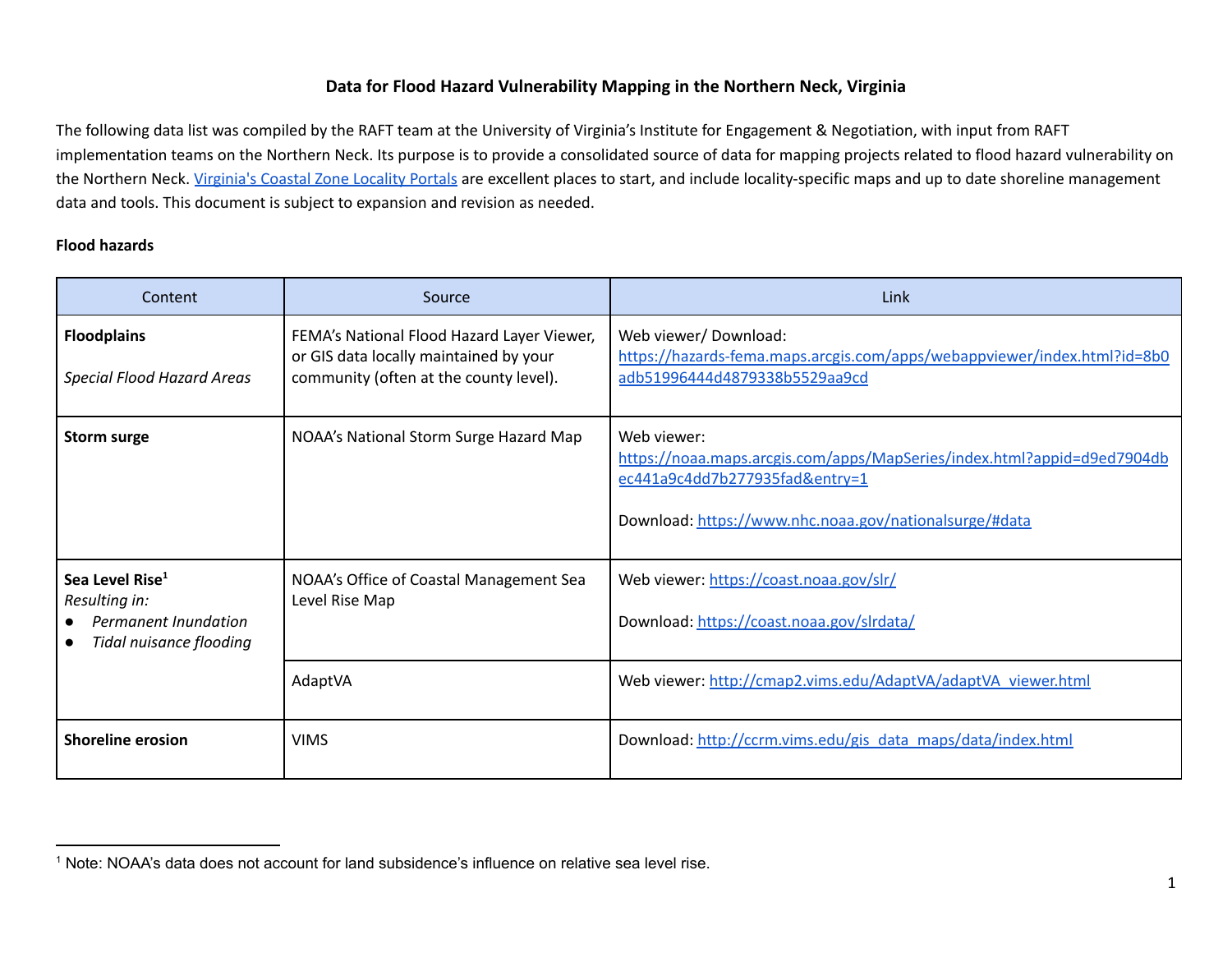# **Data for Flood Hazard Vulnerability Mapping in the Northern Neck, Virginia**

The following data list was compiled by the RAFT team at the University of Virginia's Institute for Engagement & Negotiation, with input from RAFT implementation teams on the Northern Neck. Its purpose is to provide a consolidated source of data for mapping projects related to flood hazard vulnerability on the Northern Neck. [Virginia's](https://www.vims.edu/ccrm/ccrmp/portals/index.php) Coastal Zone Locality Portals are excellent places to start, and include locality-specific maps and up to date shoreline management data and tools. This document is subject to expansion and revision as needed.

#### **Flood hazards**

| Content                                                                                         | Source                                                                                                                         | Link                                                                                                                                                                               |
|-------------------------------------------------------------------------------------------------|--------------------------------------------------------------------------------------------------------------------------------|------------------------------------------------------------------------------------------------------------------------------------------------------------------------------------|
| <b>Floodplains</b><br><b>Special Flood Hazard Areas</b>                                         | FEMA's National Flood Hazard Layer Viewer,<br>or GIS data locally maintained by your<br>community (often at the county level). | Web viewer/ Download:<br>https://hazards-fema.maps.arcgis.com/apps/webappviewer/index.html?id=8b0<br>adb51996444d4879338b5529aa9cd                                                 |
| <b>Storm surge</b>                                                                              | NOAA's National Storm Surge Hazard Map                                                                                         | Web viewer:<br>https://noaa.maps.arcgis.com/apps/MapSeries/index.html?appid=d9ed7904db<br>ec441a9c4dd7b277935fad&entry=1<br>Download: https://www.nhc.noaa.gov/nationalsurge/#data |
| Sea Level Rise <sup>1</sup><br>Resulting in:<br>Permanent Inundation<br>Tidal nuisance flooding | NOAA's Office of Coastal Management Sea<br>Level Rise Map                                                                      | Web viewer: https://coast.noaa.gov/slr/<br>Download: https://coast.noaa.gov/slrdata/                                                                                               |
|                                                                                                 | AdaptVA                                                                                                                        | Web viewer: http://cmap2.vims.edu/AdaptVA/adaptVA_viewer.html                                                                                                                      |
| <b>Shoreline erosion</b>                                                                        | <b>VIMS</b>                                                                                                                    | Download: http://ccrm.vims.edu/gis_data_maps/data/index.html                                                                                                                       |

<sup>1</sup> Note: NOAA's data does not account for land subsidence's influence on relative sea level rise.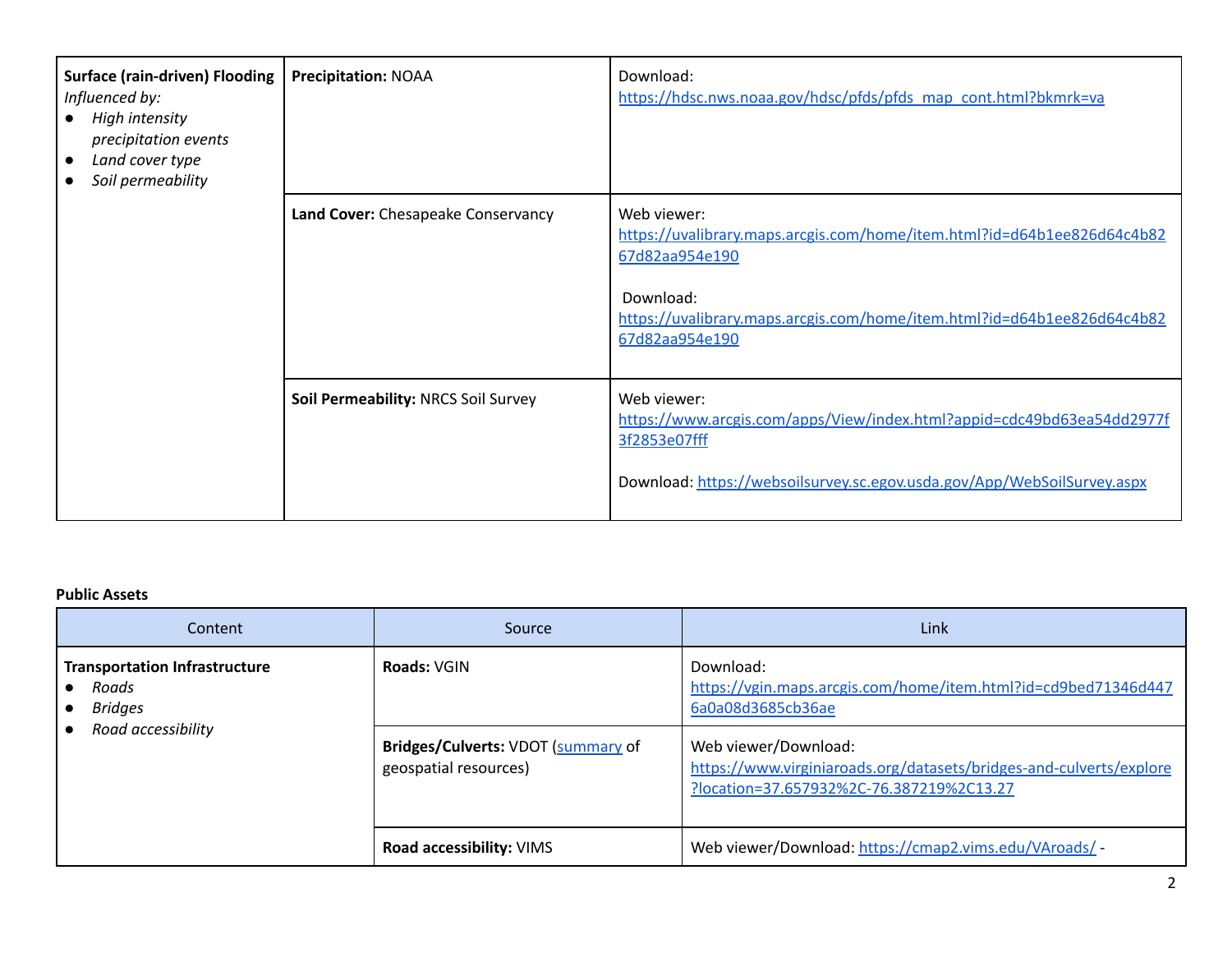| <b>Surface (rain-driven) Flooding</b><br>Influenced by:<br>High intensity<br>precipitation events<br>Land cover type<br>$\bullet$<br>Soil permeability | <b>Precipitation: NOAA</b>          | Download:<br>https://hdsc.nws.noaa.gov/hdsc/pfds/pfds map cont.html?bkmrk=va                                                                                                                                       |
|--------------------------------------------------------------------------------------------------------------------------------------------------------|-------------------------------------|--------------------------------------------------------------------------------------------------------------------------------------------------------------------------------------------------------------------|
|                                                                                                                                                        | Land Cover: Chesapeake Conservancy  | Web viewer:<br>https://uvalibrary.maps.arcgis.com/home/item.html?id=d64b1ee826d64c4b82<br>67d82aa954e190<br>Download:<br>https://uvalibrary.maps.arcgis.com/home/item.html?id=d64b1ee826d64c4b82<br>67d82aa954e190 |
|                                                                                                                                                        | Soil Permeability: NRCS Soil Survey | Web viewer:<br>https://www.arcgis.com/apps/View/index.html?appid=cdc49bd63ea54dd2977f<br>3f2853e07fff<br>Download: https://websoilsurvey.sc.egov.usda.gov/App/WebSoilSurvey.aspx                                   |

# **Public Assets**

| Content                                                         | Source                                                      | Link                                                                                                                                    |
|-----------------------------------------------------------------|-------------------------------------------------------------|-----------------------------------------------------------------------------------------------------------------------------------------|
| <b>Transportation Infrastructure</b><br>Roads<br><b>Bridges</b> | Roads: VGIN                                                 | Download:<br>https://vgin.maps.arcgis.com/home/item.html?id=cd9bed71346d447<br>6a0a08d3685cb36ae                                        |
| Road accessibility                                              | Bridges/Culverts: VDOT (summary of<br>geospatial resources) | Web viewer/Download:<br>https://www.virginiaroads.org/datasets/bridges-and-culverts/explore<br>?location=37.657932%2C-76.387219%2C13.27 |
|                                                                 | Road accessibility: VIMS                                    | Web viewer/Download: https://cmap2.vims.edu/VAroads/ -                                                                                  |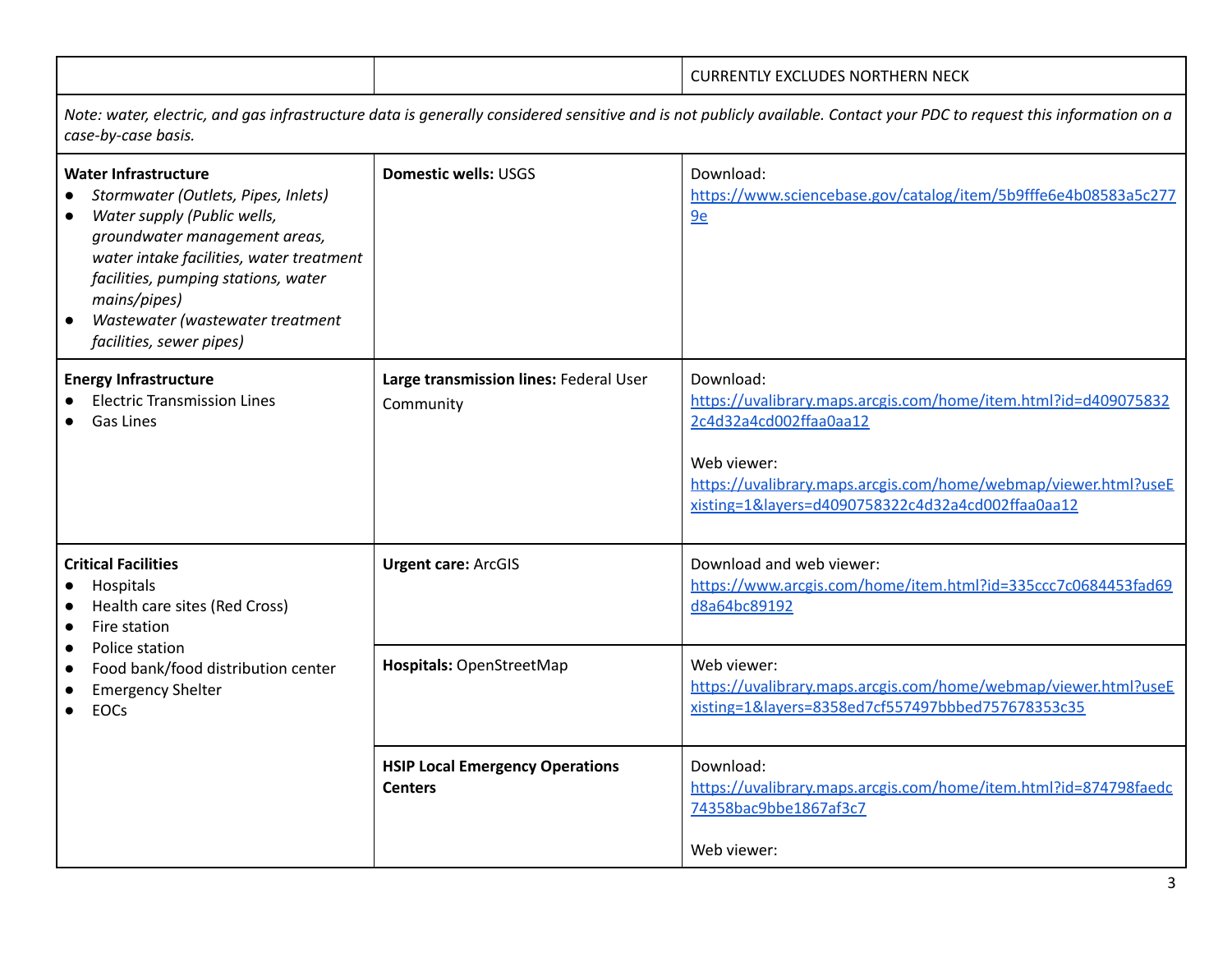|                                                                                                                                                                                                                                                                                                                    |                                                          | <b>CURRENTLY EXCLUDES NORTHERN NECK</b>                                                                                                                                                                                                       |
|--------------------------------------------------------------------------------------------------------------------------------------------------------------------------------------------------------------------------------------------------------------------------------------------------------------------|----------------------------------------------------------|-----------------------------------------------------------------------------------------------------------------------------------------------------------------------------------------------------------------------------------------------|
| Note: water, electric, and gas infrastructure data is generally considered sensitive and is not publicly available. Contact your PDC to request this information on a<br>case-by-case basis.                                                                                                                       |                                                          |                                                                                                                                                                                                                                               |
| <b>Water Infrastructure</b><br>Stormwater (Outlets, Pipes, Inlets)<br>Water supply (Public wells,<br>$\bullet$<br>groundwater management areas,<br>water intake facilities, water treatment<br>facilities, pumping stations, water<br>mains/pipes)<br>Wastewater (wastewater treatment<br>facilities, sewer pipes) | <b>Domestic wells: USGS</b>                              | Download:<br>https://www.sciencebase.gov/catalog/item/5b9fffe6e4b08583a5c277<br>9e                                                                                                                                                            |
| <b>Energy Infrastructure</b><br><b>Electric Transmission Lines</b><br><b>Gas Lines</b>                                                                                                                                                                                                                             | Large transmission lines: Federal User<br>Community      | Download:<br>https://uvalibrary.maps.arcgis.com/home/item.html?id=d409075832<br>2c4d32a4cd002ffaa0aa12<br>Web viewer:<br>https://uvalibrary.maps.arcgis.com/home/webmap/viewer.html?useE<br>xisting=1&layers=d4090758322c4d32a4cd002ffaa0aa12 |
| <b>Critical Facilities</b><br>Hospitals<br>Health care sites (Red Cross)<br>$\bullet$<br>Fire station<br>$\bullet$                                                                                                                                                                                                 | <b>Urgent care: ArcGIS</b>                               | Download and web viewer:<br>https://www.arcgis.com/home/item.html?id=335ccc7c0684453fad69<br>d8a64bc89192                                                                                                                                     |
| Police station<br>$\bullet$<br>Food bank/food distribution center<br>$\bullet$<br><b>Emergency Shelter</b><br><b>EOCs</b>                                                                                                                                                                                          | Hospitals: OpenStreetMap                                 | Web viewer:<br>https://uvalibrary.maps.arcgis.com/home/webmap/viewer.html?useE<br>xisting=1&layers=8358ed7cf557497bbbed757678353c35                                                                                                           |
|                                                                                                                                                                                                                                                                                                                    | <b>HSIP Local Emergency Operations</b><br><b>Centers</b> | Download:<br>https://uvalibrary.maps.arcgis.com/home/item.html?id=874798faedc<br>74358bac9bbe1867af3c7<br>Web viewer:                                                                                                                         |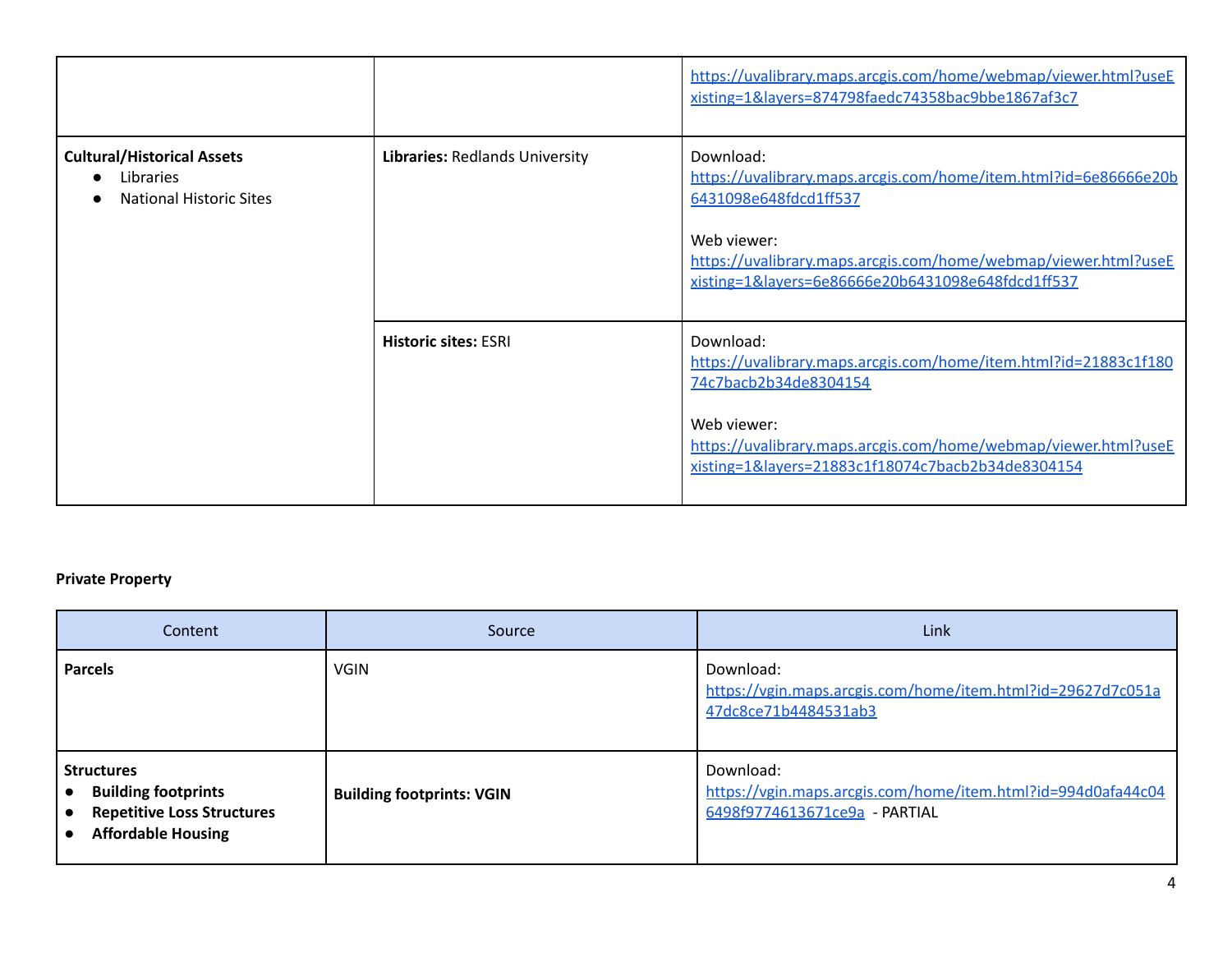|                                                                                  |                                | https://uvalibrary.maps.arcgis.com/home/webmap/viewer.html?useE<br>xisting=1&layers=874798faedc74358bac9bbe1867af3c7                |
|----------------------------------------------------------------------------------|--------------------------------|-------------------------------------------------------------------------------------------------------------------------------------|
| <b>Cultural/Historical Assets</b><br>Libraries<br><b>National Historic Sites</b> | Libraries: Redlands University | Download:<br>https://uvalibrary.maps.arcgis.com/home/item.html?id=6e86666e20b<br>6431098e648fdcd1ff537<br>Web viewer:               |
|                                                                                  |                                | https://uvalibrary.maps.arcgis.com/home/webmap/viewer.html?useE<br>xisting=1&lavers=6e86666e20b6431098e648fdcd1ff537                |
|                                                                                  | <b>Historic sites: ESRI</b>    | Download:<br>https://uvalibrary.maps.arcgis.com/home/item.html?id=21883c1f180<br>74c7bacb2b34de8304154                              |
|                                                                                  |                                | Web viewer:<br>https://uvalibrary.maps.arcgis.com/home/webmap/viewer.html?useE<br>xisting=1&layers=21883c1f18074c7bacb2b34de8304154 |

# **Private Property**

| Content                                                                                                                                     | Source                           | Link                                                                                                       |
|---------------------------------------------------------------------------------------------------------------------------------------------|----------------------------------|------------------------------------------------------------------------------------------------------------|
| <b>Parcels</b>                                                                                                                              | <b>VGIN</b>                      | Download:<br>https://vgin.maps.arcgis.com/home/item.html?id=29627d7c051a<br>47dc8ce71b4484531ab3           |
| <b>Structures</b><br><b>Building footprints</b><br>$\bullet$<br><b>Repetitive Loss Structures</b><br>$\bullet$<br><b>Affordable Housing</b> | <b>Building footprints: VGIN</b> | Download:<br>https://vgin.maps.arcgis.com/home/item.html?id=994d0afa44c04<br>6498f9774613671ce9a - PARTIAL |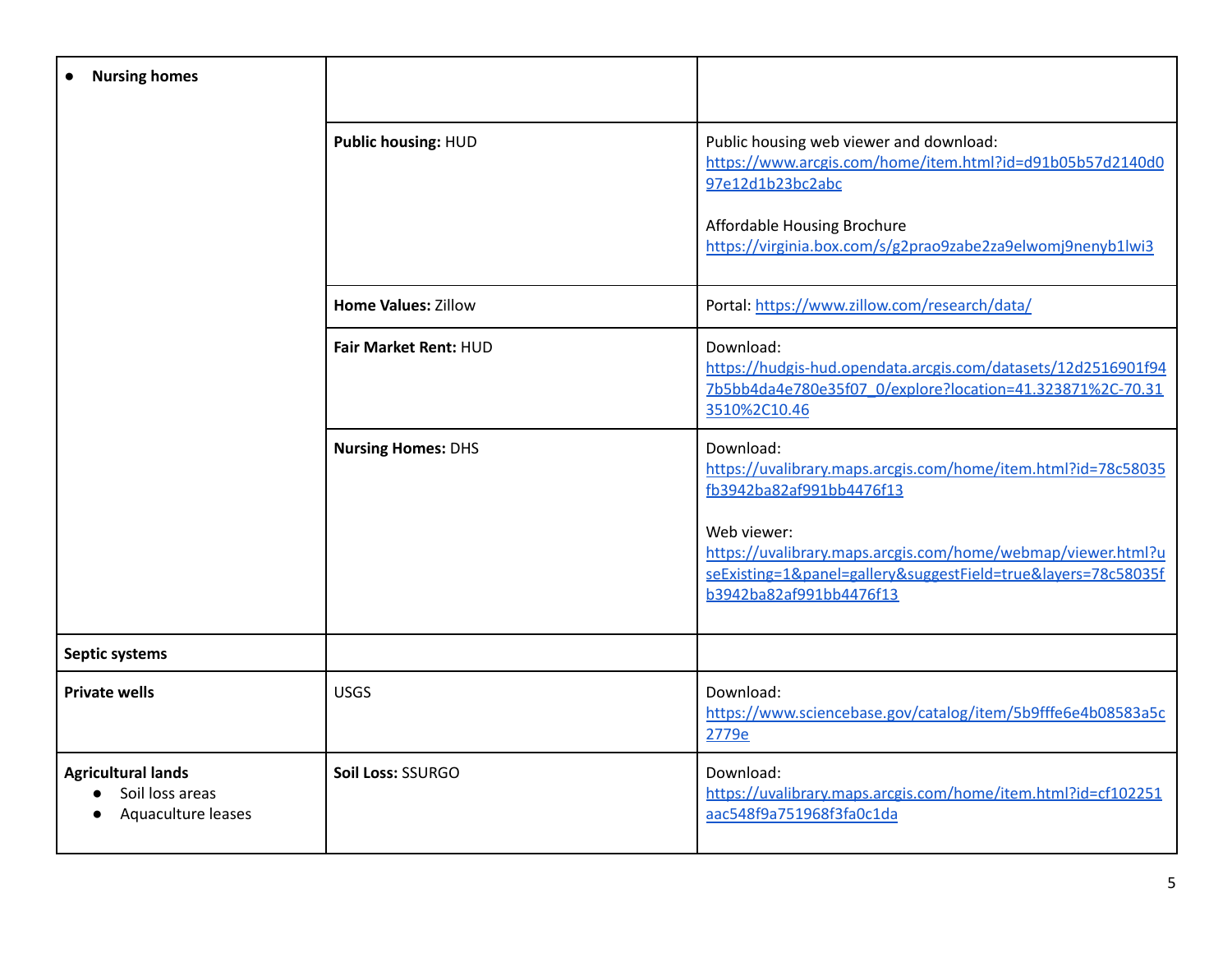| <b>Nursing homes</b>                                               |                            |                                                                                                                                                                                                                        |
|--------------------------------------------------------------------|----------------------------|------------------------------------------------------------------------------------------------------------------------------------------------------------------------------------------------------------------------|
|                                                                    | Public housing: HUD        | Public housing web viewer and download:<br>https://www.arcgis.com/home/item.html?id=d91b05b57d2140d0<br>97e12d1b23bc2abc<br>Affordable Housing Brochure<br>https://virginia.box.com/s/g2prao9zabe2za9elwomj9nenyb1lwi3 |
|                                                                    | <b>Home Values: Zillow</b> | Portal: https://www.zillow.com/research/data/                                                                                                                                                                          |
|                                                                    | Fair Market Rent: HUD      | Download:<br>https://hudgis-hud.opendata.arcgis.com/datasets/12d2516901f94<br>7b5bb4da4e780e35f07_0/explore?location=41.323871%2C-70.31<br>3510%2C10.46                                                                |
|                                                                    | <b>Nursing Homes: DHS</b>  | Download:<br>https://uvalibrary.maps.arcgis.com/home/item.html?id=78c58035<br>fb3942ba82af991bb4476f13                                                                                                                 |
|                                                                    |                            | Web viewer:<br>https://uvalibrary.maps.arcgis.com/home/webmap/viewer.html?u<br>seExisting=1&panel=gallery&suggestField=true&layers=78c58035f<br>b3942ba82af991bb4476f13                                                |
| Septic systems                                                     |                            |                                                                                                                                                                                                                        |
| <b>Private wells</b>                                               | <b>USGS</b>                | Download:<br>https://www.sciencebase.gov/catalog/item/5b9fffe6e4b08583a5c<br>2779e                                                                                                                                     |
| <b>Agricultural lands</b><br>Soil loss areas<br>Aquaculture leases | Soil Loss: SSURGO          | Download:<br>https://uvalibrary.maps.arcgis.com/home/item.html?id=cf102251<br>aac548f9a751968f3fa0c1da                                                                                                                 |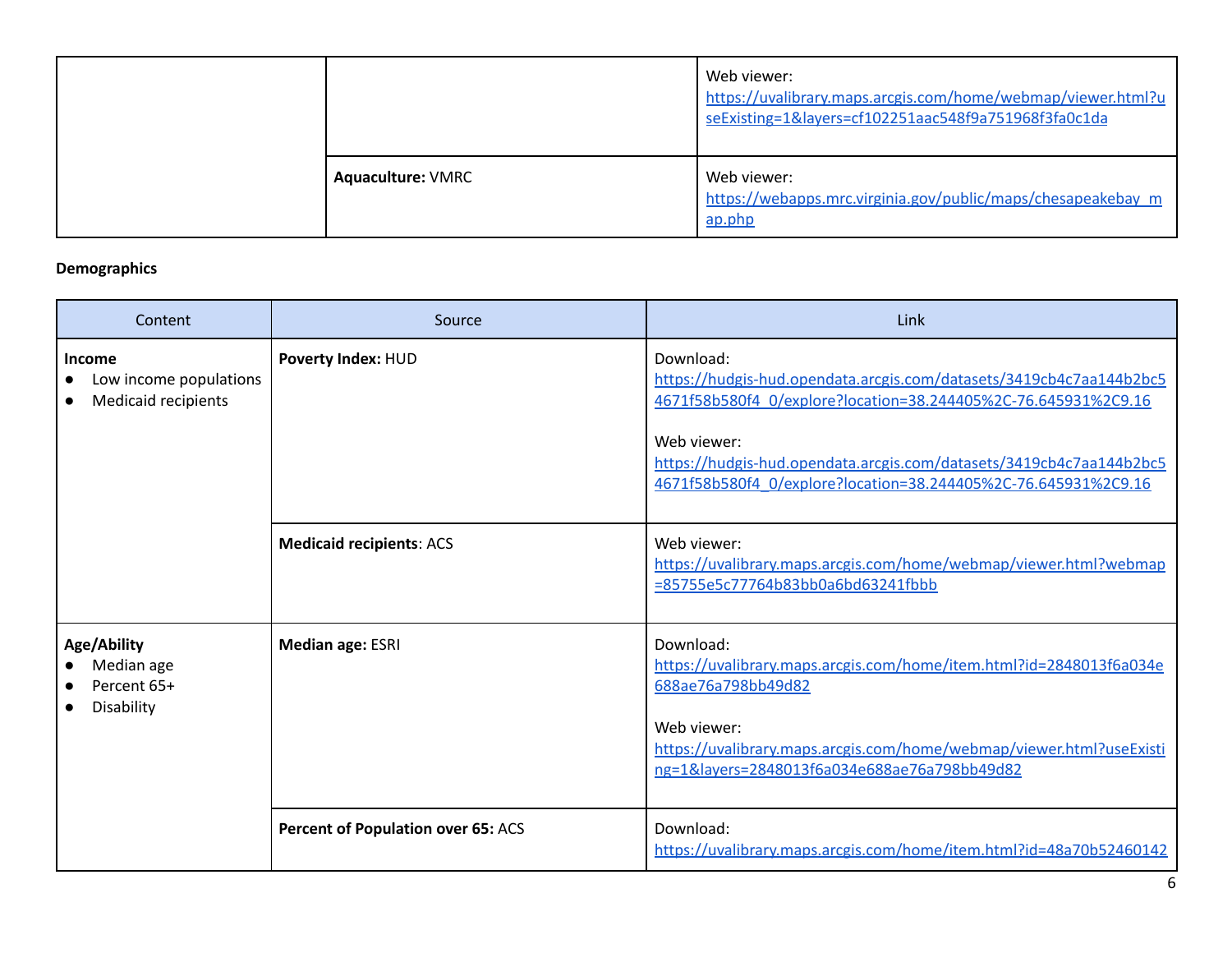|                          | Web viewer:<br>https://uvalibrary.maps.arcgis.com/home/webmap/viewer.html?u<br>seExisting=1&layers=cf102251aac548f9a751968f3fa0c1da |
|--------------------------|-------------------------------------------------------------------------------------------------------------------------------------|
| <b>Aquaculture: VMRC</b> | Web viewer:<br>https://webapps.mrc.virginia.gov/public/maps/chesapeakebay_m<br>ap.php                                               |

# **Demographics**

| Content                                                        | Source                             | Link                                                                                                                                                                                                                                                                                                       |
|----------------------------------------------------------------|------------------------------------|------------------------------------------------------------------------------------------------------------------------------------------------------------------------------------------------------------------------------------------------------------------------------------------------------------|
| <b>Income</b><br>Low income populations<br>Medicaid recipients | <b>Poverty Index: HUD</b>          | Download:<br>https://hudgis-hud.opendata.arcgis.com/datasets/3419cb4c7aa144b2bc5<br>4671f58b580f4_0/explore?location=38.244405%2C-76.645931%2C9.16<br>Web viewer:<br>https://hudgis-hud.opendata.arcgis.com/datasets/3419cb4c7aa144b2bc5<br>4671f58b580f4_0/explore?location=38.244405%2C-76.645931%2C9.16 |
|                                                                | <b>Medicaid recipients: ACS</b>    | Web viewer:<br>https://uvalibrary.maps.arcgis.com/home/webmap/viewer.html?webmap<br>=85755e5c77764b83bb0a6bd63241fbbb                                                                                                                                                                                      |
| Age/Ability<br>Median age<br>Percent 65+<br>Disability         | Median age: ESRI                   | Download:<br>https://uvalibrary.maps.arcgis.com/home/item.html?id=2848013f6a034e<br>688ae76a798bb49d82<br>Web viewer:<br>https://uvalibrary.maps.arcgis.com/home/webmap/viewer.html?useExisti<br>ng=1&layers=2848013f6a034e688ae76a798bb49d82                                                              |
|                                                                | Percent of Population over 65: ACS | Download:<br>https://uvalibrary.maps.arcgis.com/home/item.html?id=48a70b52460142                                                                                                                                                                                                                           |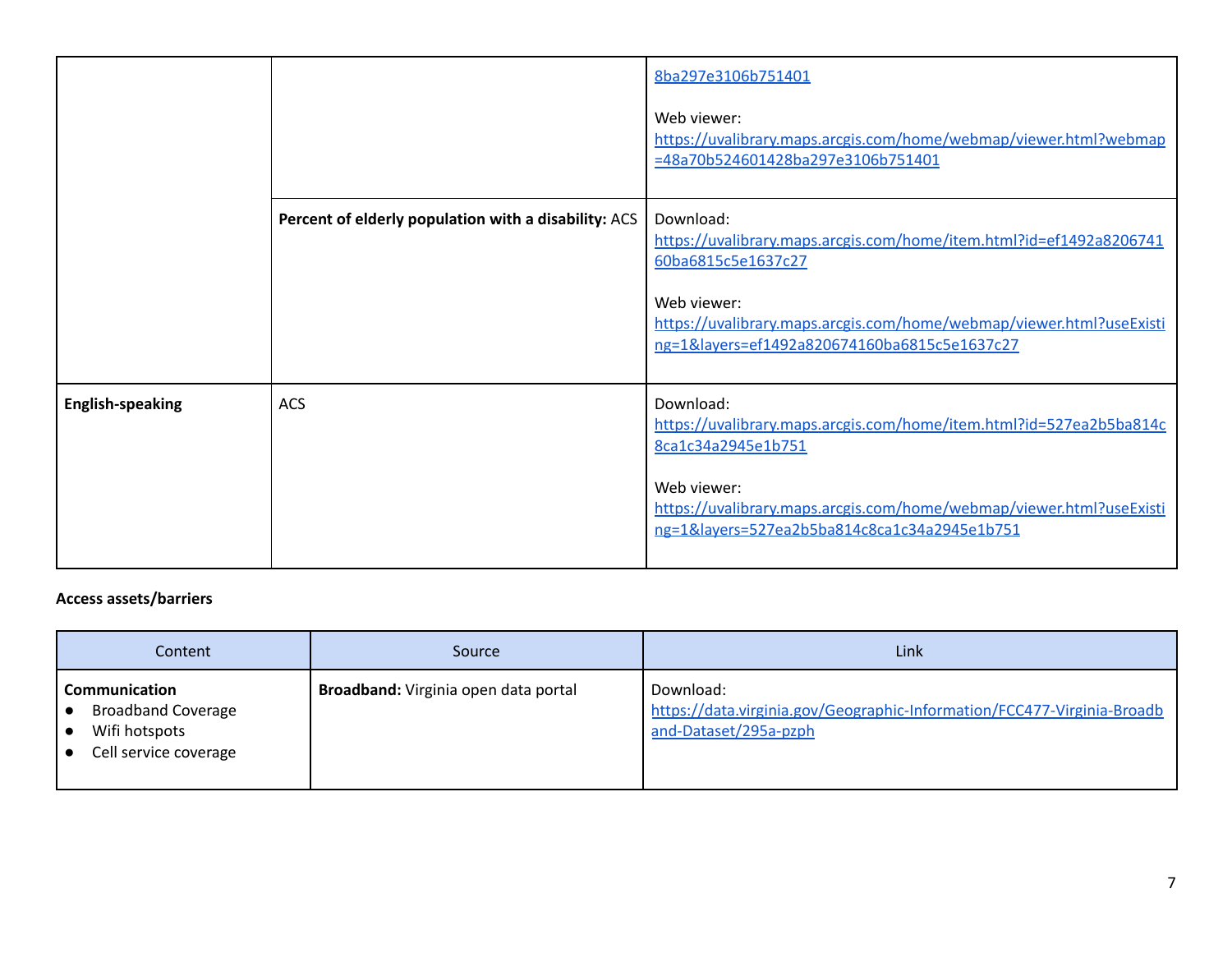|                         |                                                      | 8ba297e3106b751401<br>Web viewer:<br>https://uvalibrary.maps.arcgis.com/home/webmap/viewer.html?webmap<br>=48a70b524601428ba297e3106b751401                                                                                                   |
|-------------------------|------------------------------------------------------|-----------------------------------------------------------------------------------------------------------------------------------------------------------------------------------------------------------------------------------------------|
|                         | Percent of elderly population with a disability: ACS | Download:<br>https://uvalibrary.maps.arcgis.com/home/item.html?id=ef1492a8206741<br>60ba6815c5e1637c27<br>Web viewer:<br>https://uvalibrary.maps.arcgis.com/home/webmap/viewer.html?useExisti<br>ng=1&layers=ef1492a820674160ba6815c5e1637c27 |
| <b>English-speaking</b> | <b>ACS</b>                                           | Download:<br>https://uvalibrary.maps.arcgis.com/home/item.html?id=527ea2b5ba814c<br>8ca1c34a2945e1b751<br>Web viewer:<br>https://uvalibrary.maps.arcgis.com/home/webmap/viewer.html?useExisti<br>ng=1&layers=527ea2b5ba814c8ca1c34a2945e1b751 |

# **Access assets/barriers**

| Content                                                                                                  | Source                               | Link                                                                                                          |
|----------------------------------------------------------------------------------------------------------|--------------------------------------|---------------------------------------------------------------------------------------------------------------|
| <b>Communication</b><br><b>Broadband Coverage</b><br>Wifi hotspots<br>$\bullet$<br>Cell service coverage | Broadband: Virginia open data portal | Download:<br>https://data.virginia.gov/Geographic-Information/FCC477-Virginia-Broadb<br>and-Dataset/295a-pzph |